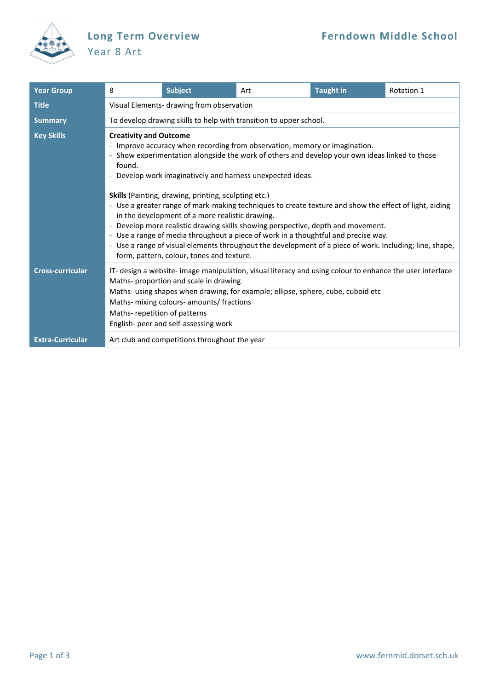

## Year 8 Art

| <b>Year Group</b>       | 8                                                                                                                                                                                                                                                                                                                                                                                                                                                                                                                                                                                                                                                                                                                                                                                                                                                   | <b>Subject</b>                                                                                                                                                                                                                                                                                                                                               | Art | <b>Taught in</b> | Rotation 1 |  |  |
|-------------------------|-----------------------------------------------------------------------------------------------------------------------------------------------------------------------------------------------------------------------------------------------------------------------------------------------------------------------------------------------------------------------------------------------------------------------------------------------------------------------------------------------------------------------------------------------------------------------------------------------------------------------------------------------------------------------------------------------------------------------------------------------------------------------------------------------------------------------------------------------------|--------------------------------------------------------------------------------------------------------------------------------------------------------------------------------------------------------------------------------------------------------------------------------------------------------------------------------------------------------------|-----|------------------|------------|--|--|
| <b>Title</b>            | Visual Elements- drawing from observation                                                                                                                                                                                                                                                                                                                                                                                                                                                                                                                                                                                                                                                                                                                                                                                                           |                                                                                                                                                                                                                                                                                                                                                              |     |                  |            |  |  |
| <b>Summary</b>          | To develop drawing skills to help with transition to upper school.                                                                                                                                                                                                                                                                                                                                                                                                                                                                                                                                                                                                                                                                                                                                                                                  |                                                                                                                                                                                                                                                                                                                                                              |     |                  |            |  |  |
| <b>Key Skills</b>       | <b>Creativity and Outcome</b><br>- Improve accuracy when recording from observation, memory or imagination.<br>- Show experimentation alongside the work of others and develop your own ideas linked to those<br>found.<br>- Develop work imaginatively and harness unexpected ideas.<br><b>Skills</b> (Painting, drawing, printing, sculpting etc.)<br>- Use a greater range of mark-making techniques to create texture and show the effect of light, aiding<br>in the development of a more realistic drawing.<br>- Develop more realistic drawing skills showing perspective, depth and movement.<br>- Use a range of media throughout a piece of work in a thoughtful and precise way.<br>- Use a range of visual elements throughout the development of a piece of work. Including; line, shape,<br>form, pattern, colour, tones and texture. |                                                                                                                                                                                                                                                                                                                                                              |     |                  |            |  |  |
|                         |                                                                                                                                                                                                                                                                                                                                                                                                                                                                                                                                                                                                                                                                                                                                                                                                                                                     |                                                                                                                                                                                                                                                                                                                                                              |     |                  |            |  |  |
| <b>Cross-curricular</b> |                                                                                                                                                                                                                                                                                                                                                                                                                                                                                                                                                                                                                                                                                                                                                                                                                                                     | IT- design a website- image manipulation, visual literacy and using colour to enhance the user interface<br>Maths- proportion and scale in drawing<br>Maths- using shapes when drawing, for example; ellipse, sphere, cube, cuboid etc<br>Maths- mixing colours- amounts/ fractions<br>Maths-repetition of patterns<br>English- peer and self-assessing work |     |                  |            |  |  |
| <b>Extra-Curricular</b> | Art club and competitions throughout the year                                                                                                                                                                                                                                                                                                                                                                                                                                                                                                                                                                                                                                                                                                                                                                                                       |                                                                                                                                                                                                                                                                                                                                                              |     |                  |            |  |  |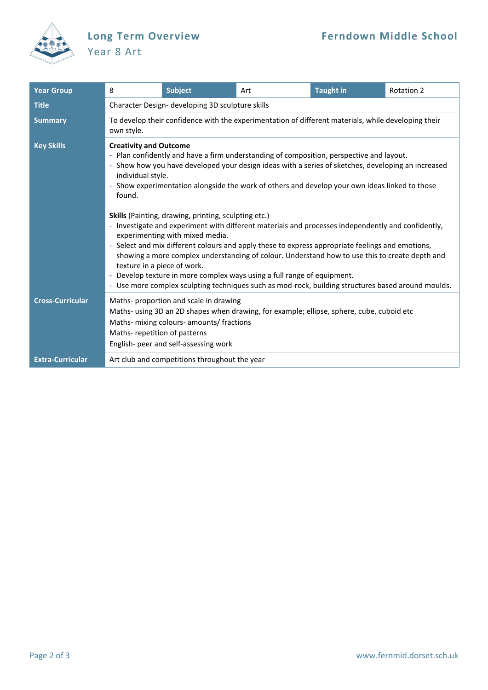

## Year 8 Art

| <b>Year Group</b>       | 8                                                                                                                                                                                                                                                                                                                                                                                                                                                                                                                                                                                                                                                                                                                                                                                                                                                                                                                                                                                       | <b>Subject</b>                                | Art | <b>Taught in</b> | <b>Rotation 2</b> |  |  |  |
|-------------------------|-----------------------------------------------------------------------------------------------------------------------------------------------------------------------------------------------------------------------------------------------------------------------------------------------------------------------------------------------------------------------------------------------------------------------------------------------------------------------------------------------------------------------------------------------------------------------------------------------------------------------------------------------------------------------------------------------------------------------------------------------------------------------------------------------------------------------------------------------------------------------------------------------------------------------------------------------------------------------------------------|-----------------------------------------------|-----|------------------|-------------------|--|--|--|
| <b>Title</b>            | Character Design- developing 3D sculpture skills                                                                                                                                                                                                                                                                                                                                                                                                                                                                                                                                                                                                                                                                                                                                                                                                                                                                                                                                        |                                               |     |                  |                   |  |  |  |
| <b>Summary</b>          | To develop their confidence with the experimentation of different materials, while developing their<br>own style.                                                                                                                                                                                                                                                                                                                                                                                                                                                                                                                                                                                                                                                                                                                                                                                                                                                                       |                                               |     |                  |                   |  |  |  |
| <b>Key Skills</b>       | <b>Creativity and Outcome</b><br>- Plan confidently and have a firm understanding of composition, perspective and layout.<br>- Show how you have developed your design ideas with a series of sketches, developing an increased<br>individual style.<br>- Show experimentation alongside the work of others and develop your own ideas linked to those<br>found.<br>Skills (Painting, drawing, printing, sculpting etc.)<br>- Investigate and experiment with different materials and processes independently and confidently,<br>experimenting with mixed media.<br>- Select and mix different colours and apply these to express appropriate feelings and emotions,<br>showing a more complex understanding of colour. Understand how to use this to create depth and<br>texture in a piece of work.<br>- Develop texture in more complex ways using a full range of equipment.<br>- Use more complex sculpting techniques such as mod-rock, building structures based around moulds. |                                               |     |                  |                   |  |  |  |
|                         |                                                                                                                                                                                                                                                                                                                                                                                                                                                                                                                                                                                                                                                                                                                                                                                                                                                                                                                                                                                         |                                               |     |                  |                   |  |  |  |
| <b>Cross-Curricular</b> | Maths-proportion and scale in drawing<br>Maths- using 3D an 2D shapes when drawing, for example; ellipse, sphere, cube, cuboid etc<br>Maths- mixing colours- amounts/ fractions<br>Maths-repetition of patterns<br>English- peer and self-assessing work                                                                                                                                                                                                                                                                                                                                                                                                                                                                                                                                                                                                                                                                                                                                |                                               |     |                  |                   |  |  |  |
| <b>Extra-Curricular</b> |                                                                                                                                                                                                                                                                                                                                                                                                                                                                                                                                                                                                                                                                                                                                                                                                                                                                                                                                                                                         | Art club and competitions throughout the year |     |                  |                   |  |  |  |